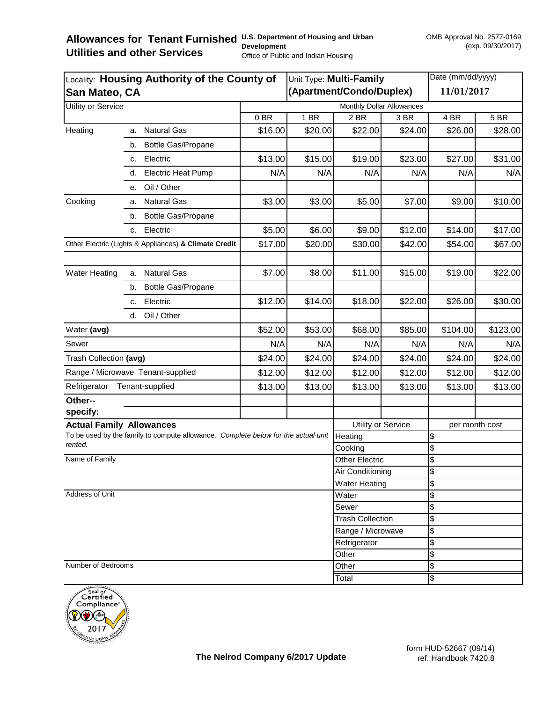## Allowances for Tenant Furnished U.S. Department of Housing and Urban **Utilities and other Services Development**  Office of Public and Indian Housing

| Locality: Housing Authority of the County of<br>San Mateo, CA                                |                                 |                           | Unit Type: Multi-Family |                           |            | Date (mm/dd/yyyy)              |          |  |  |
|----------------------------------------------------------------------------------------------|---------------------------------|---------------------------|-------------------------|---------------------------|------------|--------------------------------|----------|--|--|
|                                                                                              |                                 |                           |                         | (Apartment/Condo/Duplex)  | 11/01/2017 |                                |          |  |  |
| Utility or Service                                                                           |                                 | Monthly Dollar Allowances |                         |                           |            |                                |          |  |  |
|                                                                                              |                                 | 0BR                       | 1 BR                    | 2 BR                      | 3 BR       | 4 BR                           | 5 BR     |  |  |
| Heating                                                                                      | <b>Natural Gas</b><br>а.        | \$16.00                   | \$20.00                 | \$22.00                   | \$24.00    | \$26.00                        | \$28.00  |  |  |
|                                                                                              | <b>Bottle Gas/Propane</b><br>b. |                           |                         |                           |            |                                |          |  |  |
|                                                                                              | Electric<br>c.                  | \$13.00                   | \$15.00                 | \$19.00                   | \$23.00    | \$27.00                        | \$31.00  |  |  |
|                                                                                              | <b>Electric Heat Pump</b>       | N/A                       | N/A                     | N/A                       | N/A        | N/A                            | N/A      |  |  |
|                                                                                              | Oil / Other<br>е.               |                           |                         |                           |            |                                |          |  |  |
| Cooking                                                                                      | <b>Natural Gas</b><br>a.        | \$3.00                    | \$3.00                  | \$5.00                    | \$7.00     | \$9.00                         | \$10.00  |  |  |
|                                                                                              | <b>Bottle Gas/Propane</b><br>b. |                           |                         |                           |            |                                |          |  |  |
|                                                                                              | Electric<br>C.                  | \$5.00                    | \$6.00                  | \$9.00                    | \$12.00    | \$14.00                        | \$17.00  |  |  |
| Other Electric (Lights & Appliances) & Climate Credit                                        |                                 | \$17.00                   | \$20.00                 | \$30.00                   | \$42.00    | \$54.00                        | \$67.00  |  |  |
| <b>Water Heating</b>                                                                         | <b>Natural Gas</b><br>a.        | \$7.00                    | \$8.00                  | \$11.00                   | \$15.00    | \$19.00                        | \$22.00  |  |  |
|                                                                                              | <b>Bottle Gas/Propane</b><br>b. |                           |                         |                           |            |                                |          |  |  |
|                                                                                              | Electric<br>c.                  | \$12.00                   | \$14.00                 | \$18.00                   | \$22.00    | \$26.00                        | \$30.00  |  |  |
|                                                                                              | d. Oil / Other                  |                           |                         |                           |            |                                |          |  |  |
| Water (avg)                                                                                  |                                 | \$52.00                   | \$53.00                 | \$68.00                   | \$85.00    | \$104.00                       | \$123.00 |  |  |
| Sewer                                                                                        |                                 | N/A                       | N/A                     | N/A                       | N/A        | N/A                            | N/A      |  |  |
| Trash Collection (avg)                                                                       |                                 | \$24.00                   | \$24.00                 | \$24.00                   | \$24.00    | \$24.00                        | \$24.00  |  |  |
| Range / Microwave Tenant-supplied                                                            |                                 | \$12.00                   | \$12.00                 | \$12.00                   | \$12.00    | \$12.00                        | \$12.00  |  |  |
| Tenant-supplied<br>Refrigerator                                                              |                                 | \$13.00                   | \$13.00                 | \$13.00                   | \$13.00    | \$13.00                        | \$13.00  |  |  |
| Other--                                                                                      |                                 |                           |                         |                           |            |                                |          |  |  |
| specify:                                                                                     |                                 |                           |                         |                           |            |                                |          |  |  |
| <b>Actual Family Allowances</b>                                                              |                                 |                           |                         | <b>Utility or Service</b> |            | per month cost                 |          |  |  |
| To be used by the family to compute allowance. Complete below for the actual unit<br>rented. |                                 |                           | Heating<br>Cooking      |                           |            | \$                             |          |  |  |
| Name of Family                                                                               | <b>Other Electric</b>           |                           | \$<br>\$                |                           |            |                                |          |  |  |
|                                                                                              |                                 | Air Conditioning          |                         | $\overline{\mathcal{G}}$  |            |                                |          |  |  |
|                                                                                              |                                 |                           |                         | <b>Water Heating</b>      |            | \$                             |          |  |  |
| Address of Unit                                                                              |                                 |                           |                         | Water                     |            | \$                             |          |  |  |
|                                                                                              |                                 |                           |                         | Sewer                     |            | \$                             |          |  |  |
|                                                                                              |                                 |                           |                         | <b>Trash Collection</b>   |            | \$                             |          |  |  |
|                                                                                              |                                 |                           |                         | Range / Microwave         |            | \$                             |          |  |  |
|                                                                                              |                                 |                           |                         | Refrigerator<br>Other     |            | \$                             |          |  |  |
| Number of Bedrooms                                                                           |                                 |                           |                         | Other                     |            | $\overline{\mathcal{S}}$<br>\$ |          |  |  |
|                                                                                              |                                 | Total                     |                         | \$                        |            |                                |          |  |  |



form HUD-52667 (09/14) ref. Handbook 7420.8